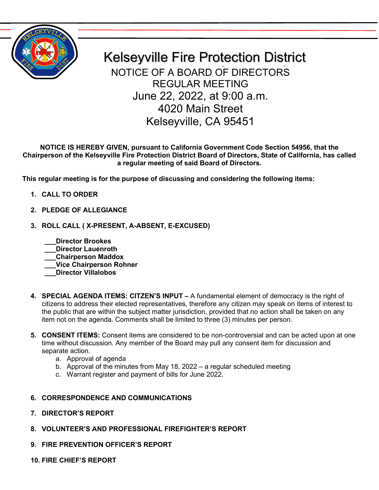

Kelseyville Fire Protection District NOTICE OF A BOARD OF DIRECTORS REGULAR MEETING June 22, 2022, at 9:00 a.m. 4020 Main Street Kelseyville, CA 95451

**NOTICE IS HEREBY GIVEN, pursuant to California Government Code Section 54956, that the Chairperson of the Kelseyville Fire Protection District Board of Directors, State of California, has called a regular meeting of said Board of Directors.**

**This regular meeting is for the purpose of discussing and considering the following items:**

- **1. CALL TO ORDER**
- **2. PLEDGE OF ALLEGIANCE**
- **3. ROLL CALL ( X-PRESENT, A-ABSENT, E-EXCUSED)**
	- **\_\_\_Director Brookes \_\_\_Director Lauenroth \_\_\_Chairperson Maddox \_\_\_Vice Chairperson Rohner \_\_\_Director Villalobos**
- **4. SPECIAL AGENDA ITEMS: CITZEN'S INPUT –** A fundamental element of democracy is the right of citizens to address their elected representatives, therefore any citizen may speak on items of interest to the public that are within the subject matter jurisdiction, provided that no action shall be taken on any item not on the agenda. Comments shall be limited to three (3) minutes per person.
- **5. CONSENT ITEMS:** Consent items are considered to be non-controversial and can be acted upon at one time without discussion. Any member of the Board may pull any consent item for discussion and separate action.
	- a. Approval of agenda
	- b. Approval of the minutes from May 18, 2022 a regular scheduled meeting
	- c. Warrant register and payment of bills for June 2022.
- **6. CORRESPONDENCE AND COMMUNICATIONS**
- **7. DIRECTOR'S REPORT**
- **8. VOLUNTEER'S AND PROFESSIONAL FIREFIGHTER'S REPORT**
- **9. FIRE PREVENTION OFFICER'S REPORT**
- **10. FIRE CHIEF'S REPORT**